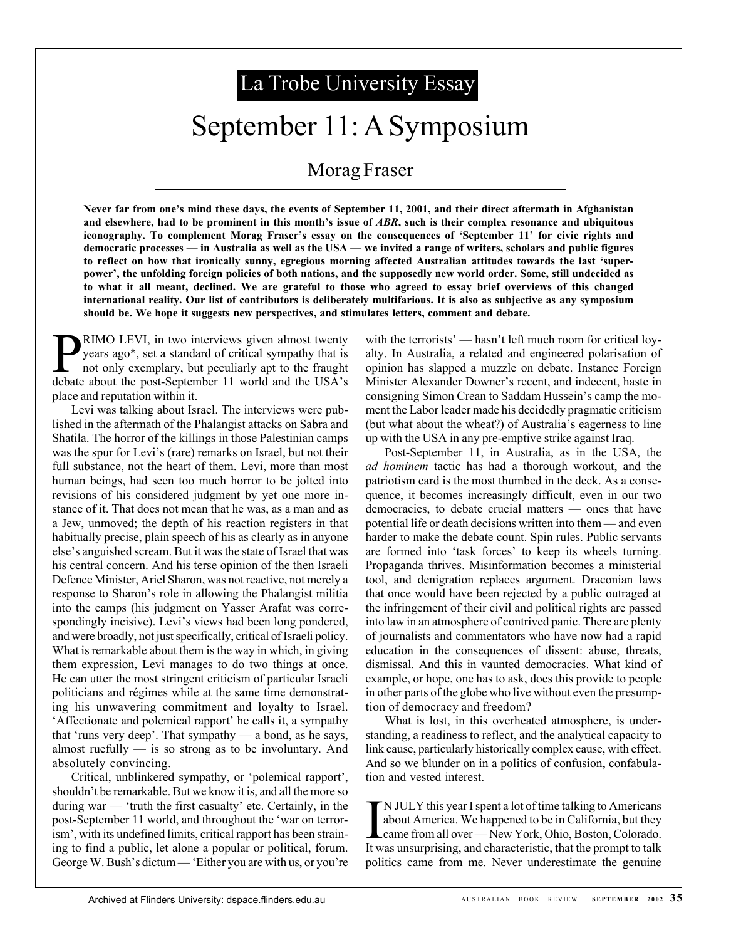# La Trobe University Essay

## September 11: A Symposium

### Morag Fraser

**Never far from one's mind these days, the events of September 11, 2001, and their direct aftermath in Afghanistan and elsewhere, had to be prominent in this month's issue of** *ABR***, such is their complex resonance and ubiquitous iconography. To complement Morag Fraser's essay on the consequences of 'September 11' for civic rights and democratic processes — in Australia as well as the USA — we invited a range of writers, scholars and public figures to reflect on how that ironically sunny, egregious morning affected Australian attitudes towards the last 'superpower', the unfolding foreign policies of both nations, and the supposedly new world order. Some, still undecided as to what it all meant, declined. We are grateful to those who agreed to essay brief overviews of this changed international reality. Our list of contributors is deliberately multifarious. It is also as subjective as any symposium should be. We hope it suggests new perspectives, and stimulates letters, comment and debate.**

**PRIMO LEVI**, in two interviews given almost twenty<br>years ago\*, set a standard of critical sympathy that is<br>not only exemplary, but peculiarly apt to the fraught years ago\*, set a standard of critical sympathy that is debate about the post-September 11 world and the USA's place and reputation within it.

Levi was talking about Israel. The interviews were published in the aftermath of the Phalangist attacks on Sabra and Shatila. The horror of the killings in those Palestinian camps was the spur for Levi's (rare) remarks on Israel, but not their full substance, not the heart of them. Levi, more than most human beings, had seen too much horror to be jolted into revisions of his considered judgment by yet one more instance of it. That does not mean that he was, as a man and as a Jew, unmoved; the depth of his reaction registers in that habitually precise, plain speech of his as clearly as in anyone else's anguished scream. But it was the state of Israel that was his central concern. And his terse opinion of the then Israeli Defence Minister, Ariel Sharon, was not reactive, not merely a response to Sharon's role in allowing the Phalangist militia into the camps (his judgment on Yasser Arafat was correspondingly incisive). Levi's views had been long pondered, and were broadly, not just specifically, critical of Israeli policy. What is remarkable about them is the way in which, in giving them expression, Levi manages to do two things at once. He can utter the most stringent criticism of particular Israeli politicians and régimes while at the same time demonstrating his unwavering commitment and loyalty to Israel. 'Affectionate and polemical rapport' he calls it, a sympathy that 'runs very deep'. That sympathy — a bond, as he says, almost ruefully  $-$  is so strong as to be involuntary. And absolutely convincing.

Critical, unblinkered sympathy, or 'polemical rapport', shouldn't be remarkable. But we know it is, and all the more so during war — 'truth the first casualty' etc. Certainly, in the post-September 11 world, and throughout the 'war on terrorism', with its undefined limits, critical rapport has been straining to find a public, let alone a popular or political, forum. George W. Bush's dictum — 'Either you are with us, or you're with the terrorists' — hasn't left much room for critical loyalty. In Australia, a related and engineered polarisation of opinion has slapped a muzzle on debate. Instance Foreign Minister Alexander Downer's recent, and indecent, haste in consigning Simon Crean to Saddam Hussein's camp the moment the Labor leader made his decidedly pragmatic criticism (but what about the wheat?) of Australia's eagerness to line up with the USA in any pre-emptive strike against Iraq.

Post-September 11, in Australia, as in the USA, the *ad hominem* tactic has had a thorough workout, and the patriotism card is the most thumbed in the deck. As a consequence, it becomes increasingly difficult, even in our two democracies, to debate crucial matters — ones that have potential life or death decisions written into them — and even harder to make the debate count. Spin rules. Public servants are formed into 'task forces' to keep its wheels turning. Propaganda thrives. Misinformation becomes a ministerial tool, and denigration replaces argument. Draconian laws that once would have been rejected by a public outraged at the infringement of their civil and political rights are passed into law in an atmosphere of contrived panic. There are plenty of journalists and commentators who have now had a rapid education in the consequences of dissent: abuse, threats, dismissal. And this in vaunted democracies. What kind of example, or hope, one has to ask, does this provide to people in other parts of the globe who live without even the presumption of democracy and freedom?

What is lost, in this overheated atmosphere, is understanding, a readiness to reflect, and the analytical capacity to link cause, particularly historically complex cause, with effect. And so we blunder on in a politics of confusion, confabulation and vested interest.

IN JULY this year I spent a lot of time talking to Americans<br>about America. We happened to be in California, but they<br>came from all over — New York, Ohio, Boston, Colorado.<br>It was unsurprising, and characteristic, that the N JULY this year I spent a lot of time talking to Americans about America. We happened to be in California, but they came from all over — New York, Ohio, Boston, Colorado. politics came from me. Never underestimate the genuine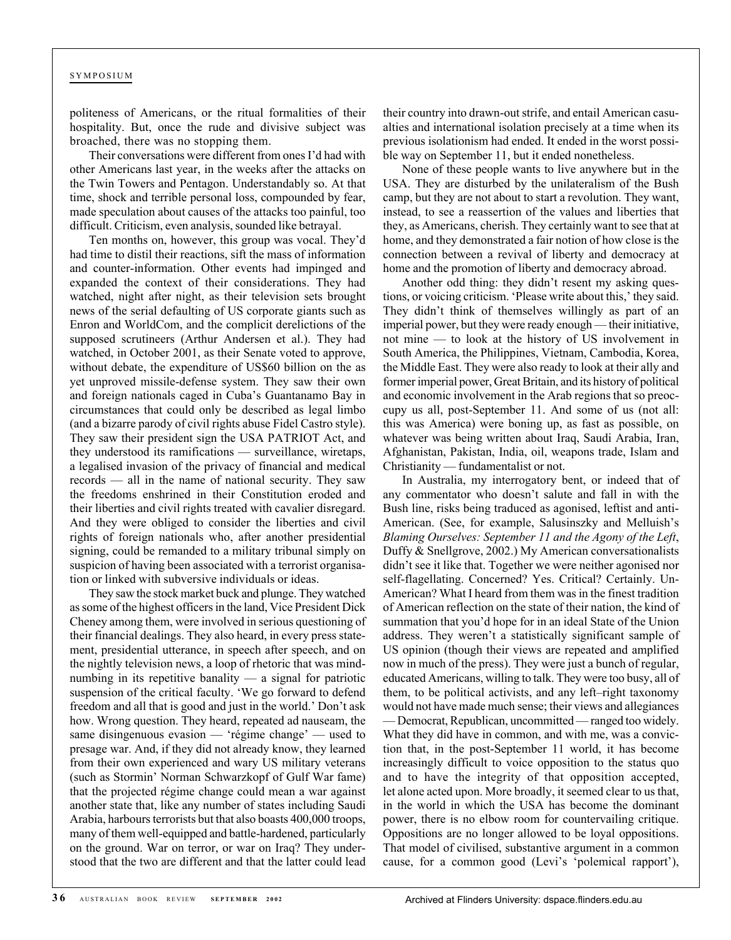politeness of Americans, or the ritual formalities of their hospitality. But, once the rude and divisive subject was broached, there was no stopping them.

Their conversations were different from ones I'd had with other Americans last year, in the weeks after the attacks on the Twin Towers and Pentagon. Understandably so. At that time, shock and terrible personal loss, compounded by fear, made speculation about causes of the attacks too painful, too difficult. Criticism, even analysis, sounded like betrayal.

Ten months on, however, this group was vocal. They'd had time to distil their reactions, sift the mass of information and counter-information. Other events had impinged and expanded the context of their considerations. They had watched, night after night, as their television sets brought news of the serial defaulting of US corporate giants such as Enron and WorldCom, and the complicit derelictions of the supposed scrutineers (Arthur Andersen et al.). They had watched, in October 2001, as their Senate voted to approve, without debate, the expenditure of US\$60 billion on the as yet unproved missile-defense system. They saw their own and foreign nationals caged in Cuba's Guantanamo Bay in circumstances that could only be described as legal limbo (and a bizarre parody of civil rights abuse Fidel Castro style). They saw their president sign the USA PATRIOT Act, and they understood its ramifications — surveillance, wiretaps, a legalised invasion of the privacy of financial and medical records — all in the name of national security. They saw the freedoms enshrined in their Constitution eroded and their liberties and civil rights treated with cavalier disregard. And they were obliged to consider the liberties and civil rights of foreign nationals who, after another presidential signing, could be remanded to a military tribunal simply on suspicion of having been associated with a terrorist organisation or linked with subversive individuals or ideas.

They saw the stock market buck and plunge. They watched as some of the highest officers in the land, Vice President Dick Cheney among them, were involved in serious questioning of their financial dealings. They also heard, in every press statement, presidential utterance, in speech after speech, and on the nightly television news, a loop of rhetoric that was mindnumbing in its repetitive banality — a signal for patriotic suspension of the critical faculty. 'We go forward to defend freedom and all that is good and just in the world.' Don't ask how. Wrong question. They heard, repeated ad nauseam, the same disingenuous evasion — 'régime change' — used to presage war. And, if they did not already know, they learned from their own experienced and wary US military veterans (such as Stormin' Norman Schwarzkopf of Gulf War fame) that the projected régime change could mean a war against another state that, like any number of states including Saudi Arabia, harbours terrorists but that also boasts 400,000 troops, many of them well-equipped and battle-hardened, particularly on the ground. War on terror, or war on Iraq? They understood that the two are different and that the latter could lead their country into drawn-out strife, and entail American casualties and international isolation precisely at a time when its previous isolationism had ended. It ended in the worst possible way on September 11, but it ended nonetheless.

None of these people wants to live anywhere but in the USA. They are disturbed by the unilateralism of the Bush camp, but they are not about to start a revolution. They want, instead, to see a reassertion of the values and liberties that they, as Americans, cherish. They certainly want to see that at home, and they demonstrated a fair notion of how close is the connection between a revival of liberty and democracy at home and the promotion of liberty and democracy abroad.

Another odd thing: they didn't resent my asking questions, or voicing criticism. 'Please write about this,' they said. They didn't think of themselves willingly as part of an imperial power, but they were ready enough — their initiative, not mine — to look at the history of US involvement in South America, the Philippines, Vietnam, Cambodia, Korea, the Middle East. They were also ready to look at their ally and former imperial power, Great Britain, and its history of political and economic involvement in the Arab regions that so preoccupy us all, post-September 11. And some of us (not all: this was America) were boning up, as fast as possible, on whatever was being written about Iraq, Saudi Arabia, Iran, Afghanistan, Pakistan, India, oil, weapons trade, Islam and Christianity — fundamentalist or not.

In Australia, my interrogatory bent, or indeed that of any commentator who doesn't salute and fall in with the Bush line, risks being traduced as agonised, leftist and anti-American. (See, for example, Salusinszky and Melluish's *Blaming Ourselves: September 11 and the Agony of the Left*, Duffy & Snellgrove, 2002.) My American conversationalists didn't see it like that. Together we were neither agonised nor self-flagellating. Concerned? Yes. Critical? Certainly. Un-American? What I heard from them was in the finest tradition of American reflection on the state of their nation, the kind of summation that you'd hope for in an ideal State of the Union address. They weren't a statistically significant sample of US opinion (though their views are repeated and amplified now in much of the press). They were just a bunch of regular, educated Americans, willing to talk. They were too busy, all of them, to be political activists, and any left–right taxonomy would not have made much sense; their views and allegiances — Democrat, Republican, uncommitted — ranged too widely. What they did have in common, and with me, was a conviction that, in the post-September 11 world, it has become increasingly difficult to voice opposition to the status quo and to have the integrity of that opposition accepted, let alone acted upon. More broadly, it seemed clear to us that, in the world in which the USA has become the dominant power, there is no elbow room for countervailing critique. Oppositions are no longer allowed to be loyal oppositions. That model of civilised, substantive argument in a common cause, for a common good (Levi's 'polemical rapport'),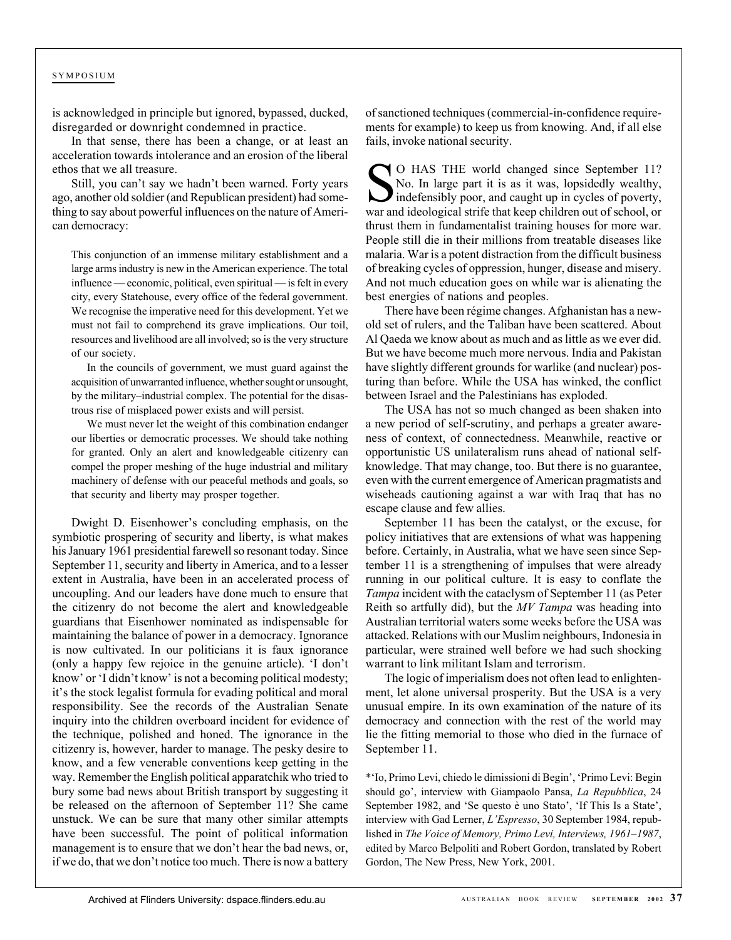is acknowledged in principle but ignored, bypassed, ducked, disregarded or downright condemned in practice.

In that sense, there has been a change, or at least an acceleration towards intolerance and an erosion of the liberal ethos that we all treasure.

Still, you can't say we hadn't been warned. Forty years ago, another old soldier (and Republican president) had something to say about powerful influences on the nature of American democracy:

This conjunction of an immense military establishment and a large arms industry is new in the American experience. The total influence — economic, political, even spiritual — is felt in every city, every Statehouse, every office of the federal government. We recognise the imperative need for this development. Yet we must not fail to comprehend its grave implications. Our toil, resources and livelihood are all involved; so is the very structure of our society.

In the councils of government, we must guard against the acquisition of unwarranted influence, whether sought or unsought, by the military–industrial complex. The potential for the disastrous rise of misplaced power exists and will persist.

We must never let the weight of this combination endanger our liberties or democratic processes. We should take nothing for granted. Only an alert and knowledgeable citizenry can compel the proper meshing of the huge industrial and military machinery of defense with our peaceful methods and goals, so that security and liberty may prosper together.

Dwight D. Eisenhower's concluding emphasis, on the symbiotic prospering of security and liberty, is what makes his January 1961 presidential farewell so resonant today. Since September 11, security and liberty in America, and to a lesser extent in Australia, have been in an accelerated process of uncoupling. And our leaders have done much to ensure that the citizenry do not become the alert and knowledgeable guardians that Eisenhower nominated as indispensable for maintaining the balance of power in a democracy. Ignorance is now cultivated. In our politicians it is faux ignorance (only a happy few rejoice in the genuine article). 'I don't know' or 'I didn't know' is not a becoming political modesty; it's the stock legalist formula for evading political and moral responsibility. See the records of the Australian Senate inquiry into the children overboard incident for evidence of the technique, polished and honed. The ignorance in the citizenry is, however, harder to manage. The pesky desire to know, and a few venerable conventions keep getting in the way. Remember the English political apparatchik who tried to bury some bad news about British transport by suggesting it be released on the afternoon of September 11? She came unstuck. We can be sure that many other similar attempts have been successful. The point of political information management is to ensure that we don't hear the bad news, or, if we do, that we don't notice too much. There is now a battery

of sanctioned techniques (commercial-in-confidence requirements for example) to keep us from knowing. And, if all else fails, invoke national security.

SO HAS THE world changed since September 11? No. In large part it is as it was, lopsidedly wealthy, indefensibly poor, and caught up in cycles of poverty, war and ideological strife that keep children out of school, or thrust them in fundamentalist training houses for more war. People still die in their millions from treatable diseases like malaria. War is a potent distraction from the difficult business of breaking cycles of oppression, hunger, disease and misery. And not much education goes on while war is alienating the best energies of nations and peoples.

There have been régime changes. Afghanistan has a newold set of rulers, and the Taliban have been scattered. About Al Qaeda we know about as much and as little as we ever did. But we have become much more nervous. India and Pakistan have slightly different grounds for warlike (and nuclear) posturing than before. While the USA has winked, the conflict between Israel and the Palestinians has exploded.

The USA has not so much changed as been shaken into a new period of self-scrutiny, and perhaps a greater awareness of context, of connectedness. Meanwhile, reactive or opportunistic US unilateralism runs ahead of national selfknowledge. That may change, too. But there is no guarantee, even with the current emergence of American pragmatists and wiseheads cautioning against a war with Iraq that has no escape clause and few allies.

September 11 has been the catalyst, or the excuse, for policy initiatives that are extensions of what was happening before. Certainly, in Australia, what we have seen since September 11 is a strengthening of impulses that were already running in our political culture. It is easy to conflate the *Tampa* incident with the cataclysm of September 11 (as Peter Reith so artfully did), but the *MV Tampa* was heading into Australian territorial waters some weeks before the USA was attacked. Relations with our Muslim neighbours, Indonesia in particular, were strained well before we had such shocking warrant to link militant Islam and terrorism.

The logic of imperialism does not often lead to enlightenment, let alone universal prosperity. But the USA is a very unusual empire. In its own examination of the nature of its democracy and connection with the rest of the world may lie the fitting memorial to those who died in the furnace of September 11.

\*'Io, Primo Levi, chiedo le dimissioni di Begin', 'Primo Levi: Begin should go', interview with Giampaolo Pansa, *La Repubblica*, 24 September 1982, and 'Se questo è uno Stato', 'If This Is a State', interview with Gad Lerner, *L'Espresso*, 30 September 1984, republished in *The Voice of Memory, Primo Levi, Interviews, 1961–1987*, edited by Marco Belpoliti and Robert Gordon, translated by Robert Gordon, The New Press, New York, 2001.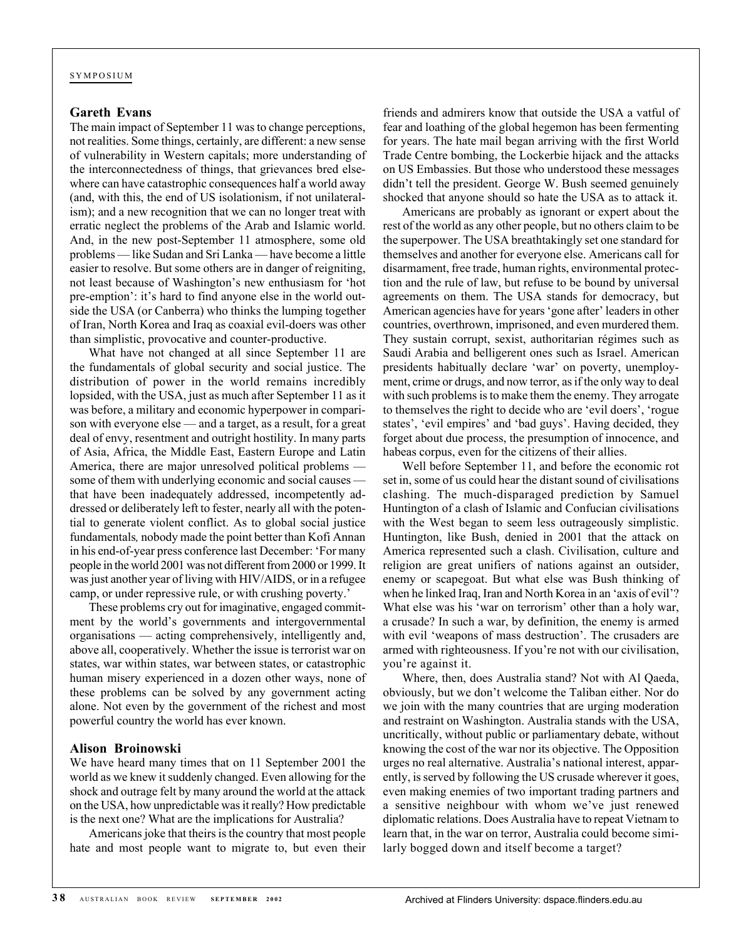#### **Gareth Evans**

The main impact of September 11 was to change perceptions, not realities. Some things, certainly, are different: a new sense of vulnerability in Western capitals; more understanding of the interconnectedness of things, that grievances bred elsewhere can have catastrophic consequences half a world away (and, with this, the end of US isolationism, if not unilateralism); and a new recognition that we can no longer treat with erratic neglect the problems of the Arab and Islamic world. And, in the new post-September 11 atmosphere, some old problems — like Sudan and Sri Lanka — have become a little easier to resolve. But some others are in danger of reigniting, not least because of Washington's new enthusiasm for 'hot pre-emption': it's hard to find anyone else in the world outside the USA (or Canberra) who thinks the lumping together of Iran, North Korea and Iraq as coaxial evil-doers was other than simplistic, provocative and counter-productive.

What have not changed at all since September 11 are the fundamentals of global security and social justice. The distribution of power in the world remains incredibly lopsided, with the USA, just as much after September 11 as it was before, a military and economic hyperpower in comparison with everyone else — and a target, as a result, for a great deal of envy, resentment and outright hostility. In many parts of Asia, Africa, the Middle East, Eastern Europe and Latin America, there are major unresolved political problems some of them with underlying economic and social causes that have been inadequately addressed, incompetently addressed or deliberately left to fester, nearly all with the potential to generate violent conflict. As to global social justice fundamentals*,* nobody made the point better than Kofi Annan in his end-of-year press conference last December: 'For many people in the world 2001 was not different from 2000 or 1999. It was just another year of living with HIV/AIDS, or in a refugee camp, or under repressive rule, or with crushing poverty.'

These problems cry out for imaginative, engaged commitment by the world's governments and intergovernmental organisations — acting comprehensively, intelligently and, above all, cooperatively. Whether the issue is terrorist war on states, war within states, war between states, or catastrophic human misery experienced in a dozen other ways, none of these problems can be solved by any government acting alone. Not even by the government of the richest and most powerful country the world has ever known.

#### **Alison Broinowski**

We have heard many times that on 11 September 2001 the world as we knew it suddenly changed. Even allowing for the shock and outrage felt by many around the world at the attack on the USA, how unpredictable was it really? How predictable is the next one? What are the implications for Australia?

Americans joke that theirs is the country that most people hate and most people want to migrate to, but even their friends and admirers know that outside the USA a vatful of fear and loathing of the global hegemon has been fermenting for years. The hate mail began arriving with the first World Trade Centre bombing, the Lockerbie hijack and the attacks on US Embassies. But those who understood these messages didn't tell the president. George W. Bush seemed genuinely shocked that anyone should so hate the USA as to attack it.

Americans are probably as ignorant or expert about the rest of the world as any other people, but no others claim to be the superpower. The USA breathtakingly set one standard for themselves and another for everyone else. Americans call for disarmament, free trade, human rights, environmental protection and the rule of law, but refuse to be bound by universal agreements on them. The USA stands for democracy, but American agencies have for years 'gone after' leaders in other countries, overthrown, imprisoned, and even murdered them. They sustain corrupt, sexist, authoritarian régimes such as Saudi Arabia and belligerent ones such as Israel. American presidents habitually declare 'war' on poverty, unemployment, crime or drugs, and now terror, as if the only way to deal with such problems is to make them the enemy. They arrogate to themselves the right to decide who are 'evil doers', 'rogue states', 'evil empires' and 'bad guys'. Having decided, they forget about due process, the presumption of innocence, and habeas corpus, even for the citizens of their allies.

Well before September 11, and before the economic rot set in, some of us could hear the distant sound of civilisations clashing. The much-disparaged prediction by Samuel Huntington of a clash of Islamic and Confucian civilisations with the West began to seem less outrageously simplistic. Huntington, like Bush, denied in 2001 that the attack on America represented such a clash. Civilisation, culture and religion are great unifiers of nations against an outsider, enemy or scapegoat. But what else was Bush thinking of when he linked Iraq, Iran and North Korea in an 'axis of evil'? What else was his 'war on terrorism' other than a holy war, a crusade? In such a war, by definition, the enemy is armed with evil 'weapons of mass destruction'. The crusaders are armed with righteousness. If you're not with our civilisation, you're against it.

Where, then, does Australia stand? Not with Al Qaeda, obviously, but we don't welcome the Taliban either. Nor do we join with the many countries that are urging moderation and restraint on Washington. Australia stands with the USA, uncritically, without public or parliamentary debate, without knowing the cost of the war nor its objective. The Opposition urges no real alternative. Australia's national interest, apparently, is served by following the US crusade wherever it goes, even making enemies of two important trading partners and a sensitive neighbour with whom we've just renewed diplomatic relations. Does Australia have to repeat Vietnam to learn that, in the war on terror, Australia could become similarly bogged down and itself become a target?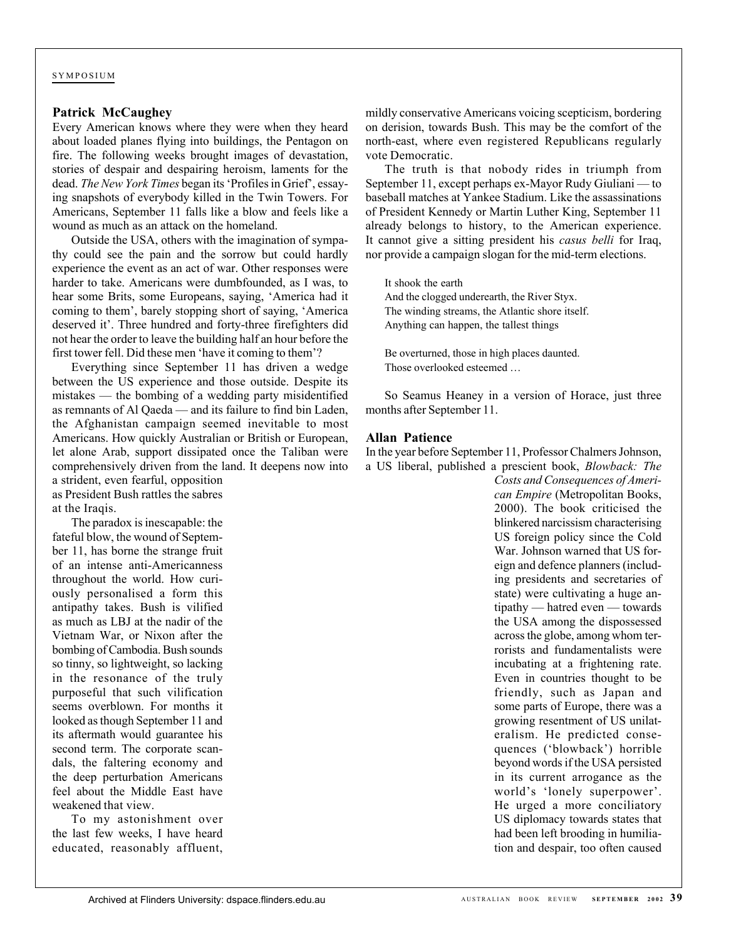#### **Patrick McCaughey**

Every American knows where they were when they heard about loaded planes flying into buildings, the Pentagon on fire. The following weeks brought images of devastation, stories of despair and despairing heroism, laments for the dead. *The New York Times* began its 'Profiles in Grief', essaying snapshots of everybody killed in the Twin Towers. For Americans, September 11 falls like a blow and feels like a wound as much as an attack on the homeland.

Outside the USA, others with the imagination of sympathy could see the pain and the sorrow but could hardly experience the event as an act of war. Other responses were harder to take. Americans were dumbfounded, as I was, to hear some Brits, some Europeans, saying, 'America had it coming to them', barely stopping short of saying, 'America deserved it'. Three hundred and forty-three firefighters did not hear the order to leave the building half an hour before the first tower fell. Did these men 'have it coming to them'?

Everything since September 11 has driven a wedge between the US experience and those outside. Despite its mistakes — the bombing of a wedding party misidentified as remnants of Al Qaeda — and its failure to find bin Laden, the Afghanistan campaign seemed inevitable to most Americans. How quickly Australian or British or European, let alone Arab, support dissipated once the Taliban were comprehensively driven from the land. It deepens now into a strident, even fearful, opposition

as President Bush rattles the sabres at the Iraqis.

The paradox is inescapable: the fateful blow, the wound of September 11, has borne the strange fruit of an intense anti-Americanness throughout the world. How curiously personalised a form this antipathy takes. Bush is vilified as much as LBJ at the nadir of the Vietnam War, or Nixon after the bombing of Cambodia. Bush sounds so tinny, so lightweight, so lacking in the resonance of the truly purposeful that such vilification seems overblown. For months it looked as though September 11 and its aftermath would guarantee his second term. The corporate scandals, the faltering economy and the deep perturbation Americans feel about the Middle East have weakened that view.

To my astonishment over the last few weeks, I have heard educated, reasonably affluent,

mildly conservative Americans voicing scepticism, bordering on derision, towards Bush. This may be the comfort of the north-east, where even registered Republicans regularly vote Democratic.

The truth is that nobody rides in triumph from September 11, except perhaps ex-Mayor Rudy Giuliani — to baseball matches at Yankee Stadium. Like the assassinations of President Kennedy or Martin Luther King, September 11 already belongs to history, to the American experience. It cannot give a sitting president his *casus belli* for Iraq, nor provide a campaign slogan for the mid-term elections.

It shook the earth And the clogged underearth, the River Styx. The winding streams, the Atlantic shore itself. Anything can happen, the tallest things

Be overturned, those in high places daunted. Those overlooked esteemed …

So Seamus Heaney in a version of Horace, just three months after September 11.

#### **Allan Patience**

In the year before September 11, Professor Chalmers Johnson, a US liberal, published a prescient book, *Blowback: The*

> *Costs and Consequences of American Empire* (Metropolitan Books, 2000). The book criticised the blinkered narcissism characterising US foreign policy since the Cold War. Johnson warned that US foreign and defence planners (including presidents and secretaries of state) were cultivating a huge antipathy — hatred even — towards the USA among the dispossessed across the globe, among whom terrorists and fundamentalists were incubating at a frightening rate. Even in countries thought to be friendly, such as Japan and some parts of Europe, there was a growing resentment of US unilateralism. He predicted consequences ('blowback') horrible beyond words if the USA persisted in its current arrogance as the world's 'lonely superpower'. He urged a more conciliatory US diplomacy towards states that had been left brooding in humiliation and despair, too often caused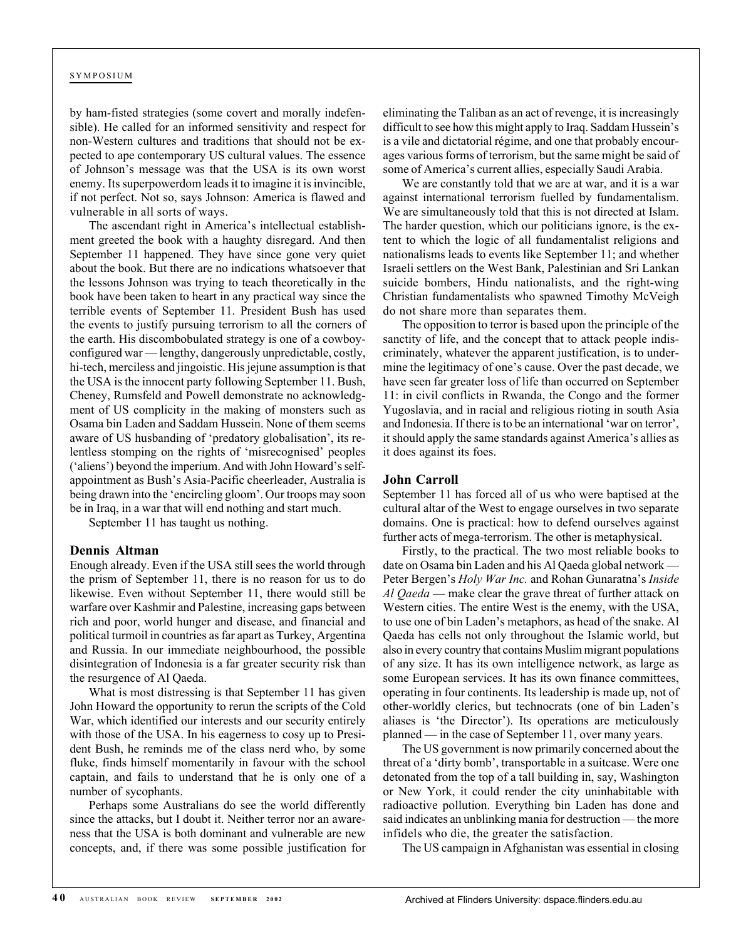by ham-fisted strategies (some covert and morally indefensible). He called for an informed sensitivity and respect for non-Western cultures and traditions that should not be expected to ape contemporary US cultural values. The essence of Johnson's message was that the USA is its own worst enemy. Its superpowerdom leads it to imagine it is invincible, if not perfect. Not so, says Johnson: America is flawed and vulnerable in all sorts of ways.

The ascendant right in America's intellectual establishment greeted the book with a haughty disregard. And then September 11 happened. They have since gone very quiet about the book. But there are no indications whatsoever that the lessons Johnson was trying to teach theoretically in the book have been taken to heart in any practical way since the terrible events of September 11. President Bush has used the events to justify pursuing terrorism to all the corners of the earth. His discombobulated strategy is one of a cowboyconfigured war — lengthy, dangerously unpredictable, costly, hi-tech, merciless and jingoistic. His jejune assumption is that the USA is the innocent party following September 11. Bush, Cheney, Rumsfeld and Powell demonstrate no acknowledgment of US complicity in the making of monsters such as Osama bin Laden and Saddam Hussein. None of them seems aware of US husbanding of 'predatory globalisation', its relentless stomping on the rights of 'misrecognised' peoples ('aliens') beyond the imperium. And with John Howard's selfappointment as Bush's Asia-Pacific cheerleader, Australia is being drawn into the 'encircling gloom'. Our troops may soon be in Iraq, in a war that will end nothing and start much.

September 11 has taught us nothing.

#### **Dennis Altman**

Enough already. Even if the USA still sees the world through the prism of September 11, there is no reason for us to do likewise. Even without September 11, there would still be warfare over Kashmir and Palestine, increasing gaps between rich and poor, world hunger and disease, and financial and political turmoil in countries as far apart as Turkey, Argentina and Russia. In our immediate neighbourhood, the possible disintegration of Indonesia is a far greater security risk than the resurgence of Al Qaeda.

What is most distressing is that September 11 has given John Howard the opportunity to rerun the scripts of the Cold War, which identified our interests and our security entirely with those of the USA. In his eagerness to cosy up to President Bush, he reminds me of the class nerd who, by some fluke, finds himself momentarily in favour with the school captain, and fails to understand that he is only one of a number of sycophants.

Perhaps some Australians do see the world differently since the attacks, but I doubt it. Neither terror nor an awareness that the USA is both dominant and vulnerable are new concepts, and, if there was some possible justification for eliminating the Taliban as an act of revenge, it is increasingly difficult to see how this might apply to Iraq. Saddam Hussein's is a vile and dictatorial régime, and one that probably encourages various forms of terrorism, but the same might be said of some of America's current allies, especially Saudi Arabia.

We are constantly told that we are at war, and it is a war against international terrorism fuelled by fundamentalism. We are simultaneously told that this is not directed at Islam. The harder question, which our politicians ignore, is the extent to which the logic of all fundamentalist religions and nationalisms leads to events like September 11; and whether Israeli settlers on the West Bank, Palestinian and Sri Lankan suicide bombers, Hindu nationalists, and the right-wing Christian fundamentalists who spawned Timothy McVeigh do not share more than separates them.

The opposition to terror is based upon the principle of the sanctity of life, and the concept that to attack people indiscriminately, whatever the apparent justification, is to undermine the legitimacy of one's cause. Over the past decade, we have seen far greater loss of life than occurred on September 11: in civil conflicts in Rwanda, the Congo and the former Yugoslavia, and in racial and religious rioting in south Asia and Indonesia. If there is to be an international 'war on terror', it should apply the same standards against America's allies as it does against its foes.

#### **John Carroll**

September 11 has forced all of us who were baptised at the cultural altar of the West to engage ourselves in two separate domains. One is practical: how to defend ourselves against further acts of mega-terrorism. The other is metaphysical.

Firstly, to the practical. The two most reliable books to date on Osama bin Laden and his Al Qaeda global network — Peter Bergen's *Holy War Inc.* and Rohan Gunaratna's *Inside Al Qaeda* — make clear the grave threat of further attack on Western cities. The entire West is the enemy, with the USA, to use one of bin Laden's metaphors, as head of the snake. Al Qaeda has cells not only throughout the Islamic world, but also in every country that contains Muslim migrant populations of any size. It has its own intelligence network, as large as some European services. It has its own finance committees, operating in four continents. Its leadership is made up, not of other-worldly clerics, but technocrats (one of bin Laden's aliases is 'the Director'). Its operations are meticulously planned — in the case of September 11, over many years.

The US government is now primarily concerned about the threat of a 'dirty bomb', transportable in a suitcase. Were one detonated from the top of a tall building in, say, Washington or New York, it could render the city uninhabitable with radioactive pollution. Everything bin Laden has done and said indicates an unblinking mania for destruction — the more infidels who die, the greater the satisfaction.

The US campaign in Afghanistan was essential in closing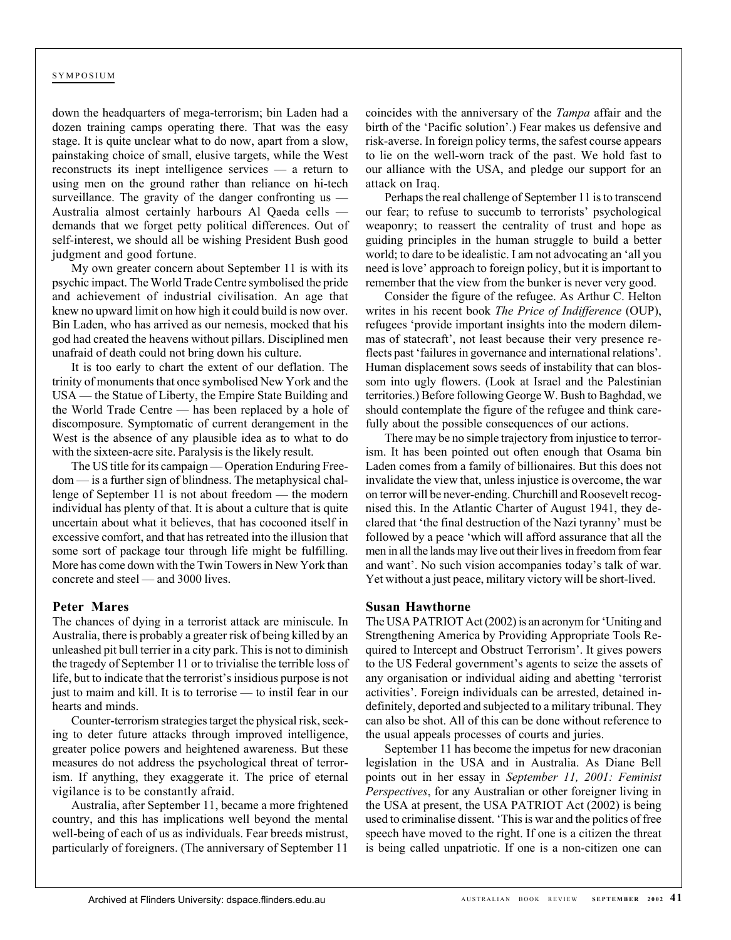down the headquarters of mega-terrorism; bin Laden had a dozen training camps operating there. That was the easy stage. It is quite unclear what to do now, apart from a slow, painstaking choice of small, elusive targets, while the West reconstructs its inept intelligence services — a return to using men on the ground rather than reliance on hi-tech surveillance. The gravity of the danger confronting us — Australia almost certainly harbours Al Qaeda cells demands that we forget petty political differences. Out of self-interest, we should all be wishing President Bush good judgment and good fortune.

My own greater concern about September 11 is with its psychic impact. The World Trade Centre symbolised the pride and achievement of industrial civilisation. An age that knew no upward limit on how high it could build is now over. Bin Laden, who has arrived as our nemesis, mocked that his god had created the heavens without pillars. Disciplined men unafraid of death could not bring down his culture.

It is too early to chart the extent of our deflation. The trinity of monuments that once symbolised New York and the USA — the Statue of Liberty, the Empire State Building and the World Trade Centre — has been replaced by a hole of discomposure. Symptomatic of current derangement in the West is the absence of any plausible idea as to what to do with the sixteen-acre site. Paralysis is the likely result.

The US title for its campaign — Operation Enduring Freedom — is a further sign of blindness. The metaphysical challenge of September 11 is not about freedom — the modern individual has plenty of that. It is about a culture that is quite uncertain about what it believes, that has cocooned itself in excessive comfort, and that has retreated into the illusion that some sort of package tour through life might be fulfilling. More has come down with the Twin Towers in New York than concrete and steel — and 3000 lives.

#### **Peter Mares**

The chances of dying in a terrorist attack are miniscule. In Australia, there is probably a greater risk of being killed by an unleashed pit bull terrier in a city park. This is not to diminish the tragedy of September 11 or to trivialise the terrible loss of life, but to indicate that the terrorist's insidious purpose is not just to maim and kill. It is to terrorise — to instil fear in our hearts and minds.

Counter-terrorism strategies target the physical risk, seeking to deter future attacks through improved intelligence, greater police powers and heightened awareness. But these measures do not address the psychological threat of terrorism. If anything, they exaggerate it. The price of eternal vigilance is to be constantly afraid.

Australia, after September 11, became a more frightened country, and this has implications well beyond the mental well-being of each of us as individuals. Fear breeds mistrust, particularly of foreigners. (The anniversary of September 11 coincides with the anniversary of the *Tampa* affair and the birth of the 'Pacific solution'.) Fear makes us defensive and risk-averse. In foreign policy terms, the safest course appears to lie on the well-worn track of the past. We hold fast to our alliance with the USA, and pledge our support for an attack on Iraq.

Perhaps the real challenge of September 11 is to transcend our fear; to refuse to succumb to terrorists' psychological weaponry; to reassert the centrality of trust and hope as guiding principles in the human struggle to build a better world; to dare to be idealistic. I am not advocating an 'all you need is love' approach to foreign policy, but it is important to remember that the view from the bunker is never very good.

Consider the figure of the refugee. As Arthur C. Helton writes in his recent book *The Price of Indifference* (OUP), refugees 'provide important insights into the modern dilemmas of statecraft', not least because their very presence reflects past 'failures in governance and international relations'. Human displacement sows seeds of instability that can blossom into ugly flowers. (Look at Israel and the Palestinian territories.) Before following George W. Bush to Baghdad, we should contemplate the figure of the refugee and think carefully about the possible consequences of our actions.

There may be no simple trajectory from injustice to terrorism. It has been pointed out often enough that Osama bin Laden comes from a family of billionaires. But this does not invalidate the view that, unless injustice is overcome, the war on terror will be never-ending. Churchill and Roosevelt recognised this. In the Atlantic Charter of August 1941, they declared that 'the final destruction of the Nazi tyranny' must be followed by a peace 'which will afford assurance that all the men in all the lands may live out their lives in freedom from fear and want'. No such vision accompanies today's talk of war. Yet without a just peace, military victory will be short-lived.

#### **Susan Hawthorne**

The USA PATRIOT Act (2002) is an acronym for 'Uniting and Strengthening America by Providing Appropriate Tools Required to Intercept and Obstruct Terrorism'. It gives powers to the US Federal government's agents to seize the assets of any organisation or individual aiding and abetting 'terrorist activities'. Foreign individuals can be arrested, detained indefinitely, deported and subjected to a military tribunal. They can also be shot. All of this can be done without reference to the usual appeals processes of courts and juries.

September 11 has become the impetus for new draconian legislation in the USA and in Australia. As Diane Bell points out in her essay in *September 11, 2001: Feminist Perspectives*, for any Australian or other foreigner living in the USA at present, the USA PATRIOT Act (2002) is being used to criminalise dissent. 'This is war and the politics of free speech have moved to the right. If one is a citizen the threat is being called unpatriotic. If one is a non-citizen one can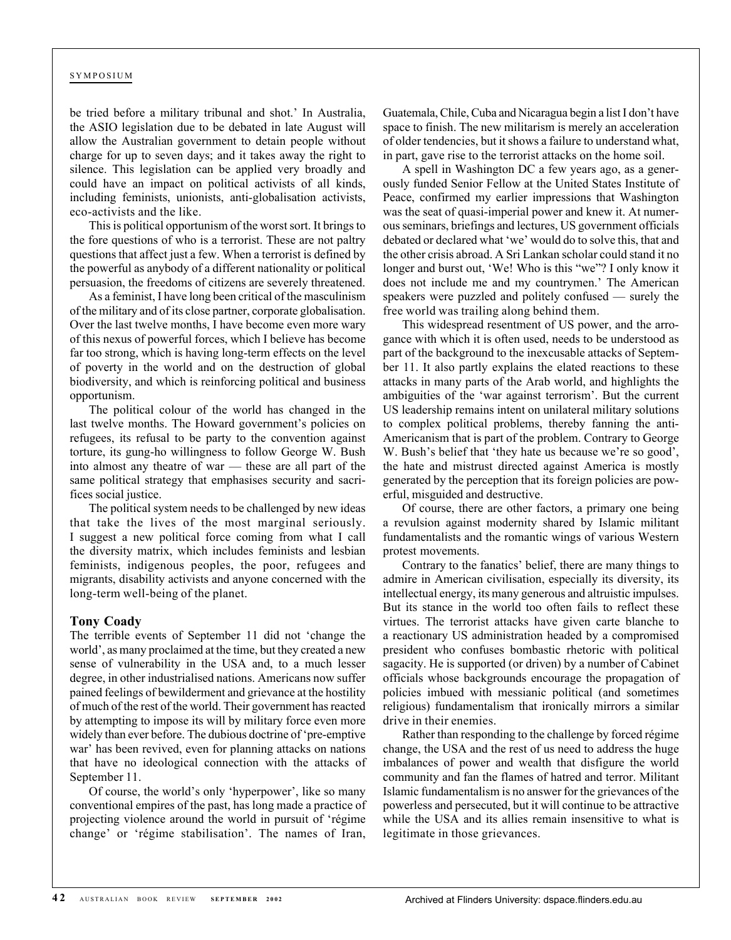be tried before a military tribunal and shot.' In Australia, the ASIO legislation due to be debated in late August will allow the Australian government to detain people without charge for up to seven days; and it takes away the right to silence. This legislation can be applied very broadly and could have an impact on political activists of all kinds, including feminists, unionists, anti-globalisation activists, eco-activists and the like.

This is political opportunism of the worst sort. It brings to the fore questions of who is a terrorist. These are not paltry questions that affect just a few. When a terrorist is defined by the powerful as anybody of a different nationality or political persuasion, the freedoms of citizens are severely threatened.

As a feminist, I have long been critical of the masculinism of the military and of its close partner, corporate globalisation. Over the last twelve months, I have become even more wary of this nexus of powerful forces, which I believe has become far too strong, which is having long-term effects on the level of poverty in the world and on the destruction of global biodiversity, and which is reinforcing political and business opportunism.

The political colour of the world has changed in the last twelve months. The Howard government's policies on refugees, its refusal to be party to the convention against torture, its gung-ho willingness to follow George W. Bush into almost any theatre of war — these are all part of the same political strategy that emphasises security and sacrifices social justice.

The political system needs to be challenged by new ideas that take the lives of the most marginal seriously. I suggest a new political force coming from what I call the diversity matrix, which includes feminists and lesbian feminists, indigenous peoples, the poor, refugees and migrants, disability activists and anyone concerned with the long-term well-being of the planet.

#### **Tony Coady**

The terrible events of September 11 did not 'change the world', as many proclaimed at the time, but they created a new sense of vulnerability in the USA and, to a much lesser degree, in other industrialised nations. Americans now suffer pained feelings of bewilderment and grievance at the hostility of much of the rest of the world. Their government has reacted by attempting to impose its will by military force even more widely than ever before. The dubious doctrine of 'pre-emptive war' has been revived, even for planning attacks on nations that have no ideological connection with the attacks of September 11.

Of course, the world's only 'hyperpower', like so many conventional empires of the past, has long made a practice of projecting violence around the world in pursuit of 'régime change' or 'régime stabilisation'. The names of Iran,

Guatemala, Chile, Cuba and Nicaragua begin a list I don't have space to finish. The new militarism is merely an acceleration of older tendencies, but it shows a failure to understand what, in part, gave rise to the terrorist attacks on the home soil.

A spell in Washington DC a few years ago, as a generously funded Senior Fellow at the United States Institute of Peace, confirmed my earlier impressions that Washington was the seat of quasi-imperial power and knew it. At numerous seminars, briefings and lectures, US government officials debated or declared what 'we' would do to solve this, that and the other crisis abroad. A Sri Lankan scholar could stand it no longer and burst out, 'We! Who is this "we"? I only know it does not include me and my countrymen.' The American speakers were puzzled and politely confused — surely the free world was trailing along behind them.

This widespread resentment of US power, and the arrogance with which it is often used, needs to be understood as part of the background to the inexcusable attacks of September 11. It also partly explains the elated reactions to these attacks in many parts of the Arab world, and highlights the ambiguities of the 'war against terrorism'. But the current US leadership remains intent on unilateral military solutions to complex political problems, thereby fanning the anti-Americanism that is part of the problem. Contrary to George W. Bush's belief that 'they hate us because we're so good', the hate and mistrust directed against America is mostly generated by the perception that its foreign policies are powerful, misguided and destructive.

Of course, there are other factors, a primary one being a revulsion against modernity shared by Islamic militant fundamentalists and the romantic wings of various Western protest movements.

Contrary to the fanatics' belief, there are many things to admire in American civilisation, especially its diversity, its intellectual energy, its many generous and altruistic impulses. But its stance in the world too often fails to reflect these virtues. The terrorist attacks have given carte blanche to a reactionary US administration headed by a compromised president who confuses bombastic rhetoric with political sagacity. He is supported (or driven) by a number of Cabinet officials whose backgrounds encourage the propagation of policies imbued with messianic political (and sometimes religious) fundamentalism that ironically mirrors a similar drive in their enemies.

Rather than responding to the challenge by forced régime change, the USA and the rest of us need to address the huge imbalances of power and wealth that disfigure the world community and fan the flames of hatred and terror. Militant Islamic fundamentalism is no answer for the grievances of the powerless and persecuted, but it will continue to be attractive while the USA and its allies remain insensitive to what is legitimate in those grievances.